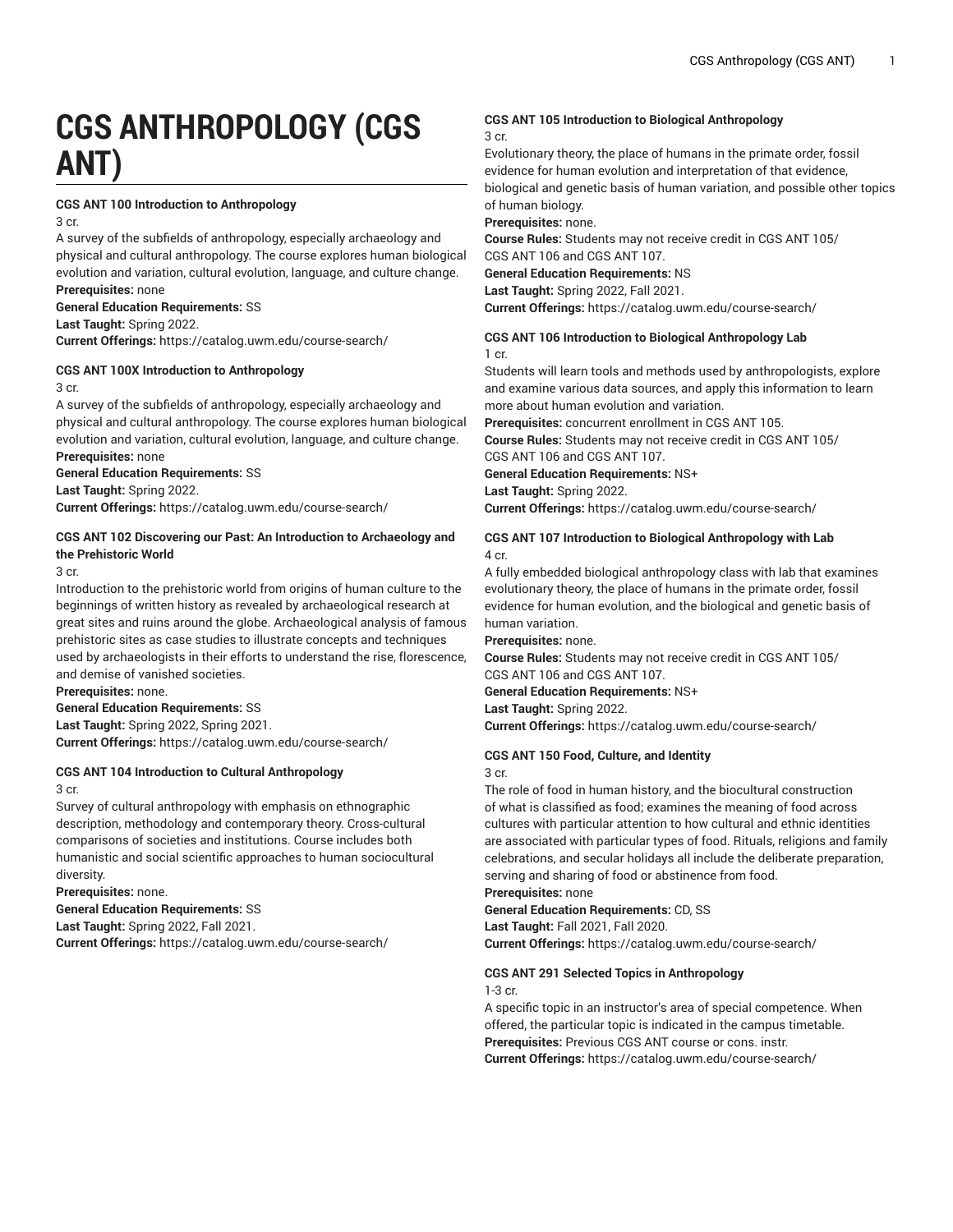# **CGS ANTHROPOLOGY (CGS ANT)**

#### **CGS ANT 100 Introduction to Anthropology**

3 cr.

A survey of the subfields of anthropology, especially archaeology and physical and cultural anthropology. The course explores human biological evolution and variation, cultural evolution, language, and culture change. **Prerequisites:** none

**General Education Requirements:** SS

**Last Taught:** Spring 2022.

**Current Offerings:** <https://catalog.uwm.edu/course-search/>

#### **CGS ANT 100X Introduction to Anthropology** 3 cr.

A survey of the subfields of anthropology, especially archaeology and physical and cultural anthropology. The course explores human biological evolution and variation, cultural evolution, language, and culture change. **Prerequisites:** none

**General Education Requirements:** SS

**Last Taught:** Spring 2022.

**Current Offerings:** <https://catalog.uwm.edu/course-search/>

#### **CGS ANT 102 Discovering our Past: An Introduction to Archaeology and the Prehistoric World**

3 cr.

Introduction to the prehistoric world from origins of human culture to the beginnings of written history as revealed by archaeological research at great sites and ruins around the globe. Archaeological analysis of famous prehistoric sites as case studies to illustrate concepts and techniques used by archaeologists in their efforts to understand the rise, florescence, and demise of vanished societies.

**Prerequisites:** none.

**General Education Requirements:** SS

**Last Taught:** Spring 2022, Spring 2021.

**Current Offerings:** <https://catalog.uwm.edu/course-search/>

#### **CGS ANT 104 Introduction to Cultural Anthropology** 3 cr.

Survey of cultural anthropology with emphasis on ethnographic description, methodology and contemporary theory. Cross-cultural comparisons of societies and institutions. Course includes both humanistic and social scientific approaches to human sociocultural diversity.

**Prerequisites:** none.

**General Education Requirements:** SS

**Last Taught:** Spring 2022, Fall 2021. **Current Offerings:** <https://catalog.uwm.edu/course-search/>

# **CGS ANT 105 Introduction to Biological Anthropology**

3 cr.

Evolutionary theory, the place of humans in the primate order, fossil evidence for human evolution and interpretation of that evidence, biological and genetic basis of human variation, and possible other topics of human biology.

**Prerequisites:** none.

**Course Rules:** Students may not receive credit in CGS ANT 105/ CGS ANT 106 and CGS ANT 107.

**General Education Requirements:** NS

**Last Taught:** Spring 2022, Fall 2021.

**Current Offerings:** <https://catalog.uwm.edu/course-search/>

#### **CGS ANT 106 Introduction to Biological Anthropology Lab** 1 cr.

Students will learn tools and methods used by anthropologists, explore and examine various data sources, and apply this information to learn more about human evolution and variation.

**Prerequisites:** concurrent enrollment in CGS ANT 105.

**Course Rules:** Students may not receive credit in CGS ANT 105/ CGS ANT 106 and CGS ANT 107.

**General Education Requirements:** NS+

**Last Taught:** Spring 2022.

**Current Offerings:** <https://catalog.uwm.edu/course-search/>

#### **CGS ANT 107 Introduction to Biological Anthropology with Lab** 4 cr.

A fully embedded biological anthropology class with lab that examines evolutionary theory, the place of humans in the primate order, fossil evidence for human evolution, and the biological and genetic basis of human variation.

**Prerequisites:** none.

**Course Rules:** Students may not receive credit in CGS ANT 105/ CGS ANT 106 and CGS ANT 107.

**General Education Requirements:** NS+

**Last Taught:** Spring 2022.

**Current Offerings:** <https://catalog.uwm.edu/course-search/>

#### **CGS ANT 150 Food, Culture, and Identity**

3 cr.

The role of food in human history, and the biocultural construction of what is classified as food; examines the meaning of food across cultures with particular attention to how cultural and ethnic identities are associated with particular types of food. Rituals, religions and family celebrations, and secular holidays all include the deliberate preparation, serving and sharing of food or abstinence from food.

#### **Prerequisites:** none

**General Education Requirements:** CD, SS **Last Taught:** Fall 2021, Fall 2020.

**Current Offerings:** <https://catalog.uwm.edu/course-search/>

### **CGS ANT 291 Selected Topics in Anthropology**

1-3 cr.

A specific topic in an instructor's area of special competence. When offered, the particular topic is indicated in the campus timetable. **Prerequisites:** Previous CGS ANT course or cons. instr. **Current Offerings:** <https://catalog.uwm.edu/course-search/>